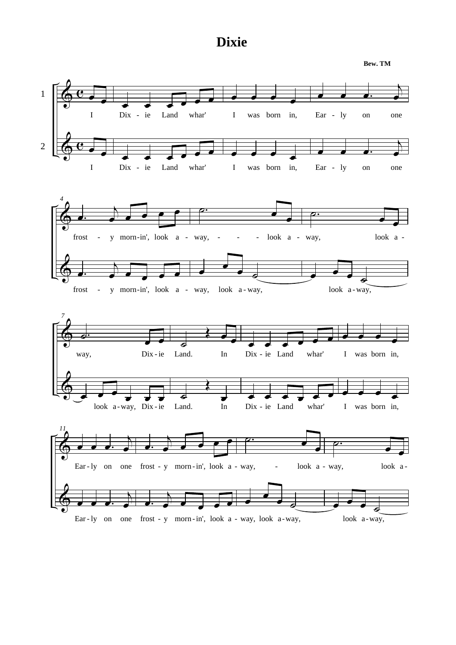## **Dixie**

**Bew. TM**